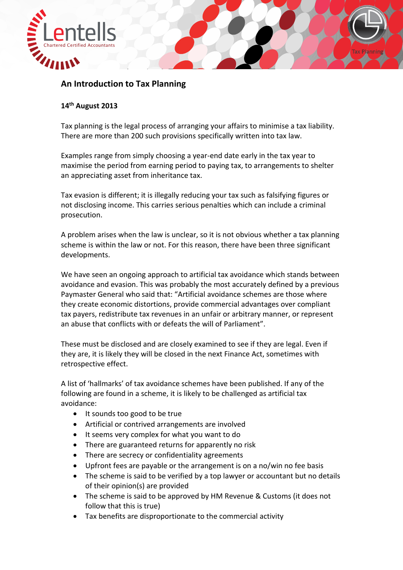

## **An Introduction to Tax Planning**

## **14th August 2013**

Tax planning is the legal process of arranging your affairs to minimise a tax liability. There are more than 200 such provisions specifically written into tax law.

Examples range from simply choosing a year-end date early in the tax year to maximise the period from earning period to paying tax, to arrangements to shelter an appreciating asset from inheritance tax.

Tax evasion is different; it is illegally reducing your tax such as falsifying figures or not disclosing income. This carries serious penalties which can include a criminal prosecution.

A problem arises when the law is unclear, so it is not obvious whether a tax planning scheme is within the law or not. For this reason, there have been three significant developments.

We have seen an ongoing approach to artificial tax avoidance which stands between avoidance and evasion. This was probably the most accurately defined by a previous Paymaster General who said that: "Artificial avoidance schemes are those where they create economic distortions, provide commercial advantages over compliant tax payers, redistribute tax revenues in an unfair or arbitrary manner, or represent an abuse that conflicts with or defeats the will of Parliament".

These must be disclosed and are closely examined to see if they are legal. Even if they are, it is likely they will be closed in the next Finance Act, sometimes with retrospective effect.

A list of 'hallmarks' of tax avoidance schemes have been published. If any of the following are found in a scheme, it is likely to be challenged as artificial tax avoidance:

- It sounds too good to be true
- Artificial or contrived arrangements are involved
- It seems very complex for what you want to do
- There are guaranteed returns for apparently no risk
- There are secrecy or confidentiality agreements
- Upfront fees are payable or the arrangement is on a no/win no fee basis
- The scheme is said to be verified by a top lawyer or accountant but no details of their opinion(s) are provided
- The scheme is said to be approved by HM Revenue & Customs (it does not follow that this is true)
- Tax benefits are disproportionate to the commercial activity